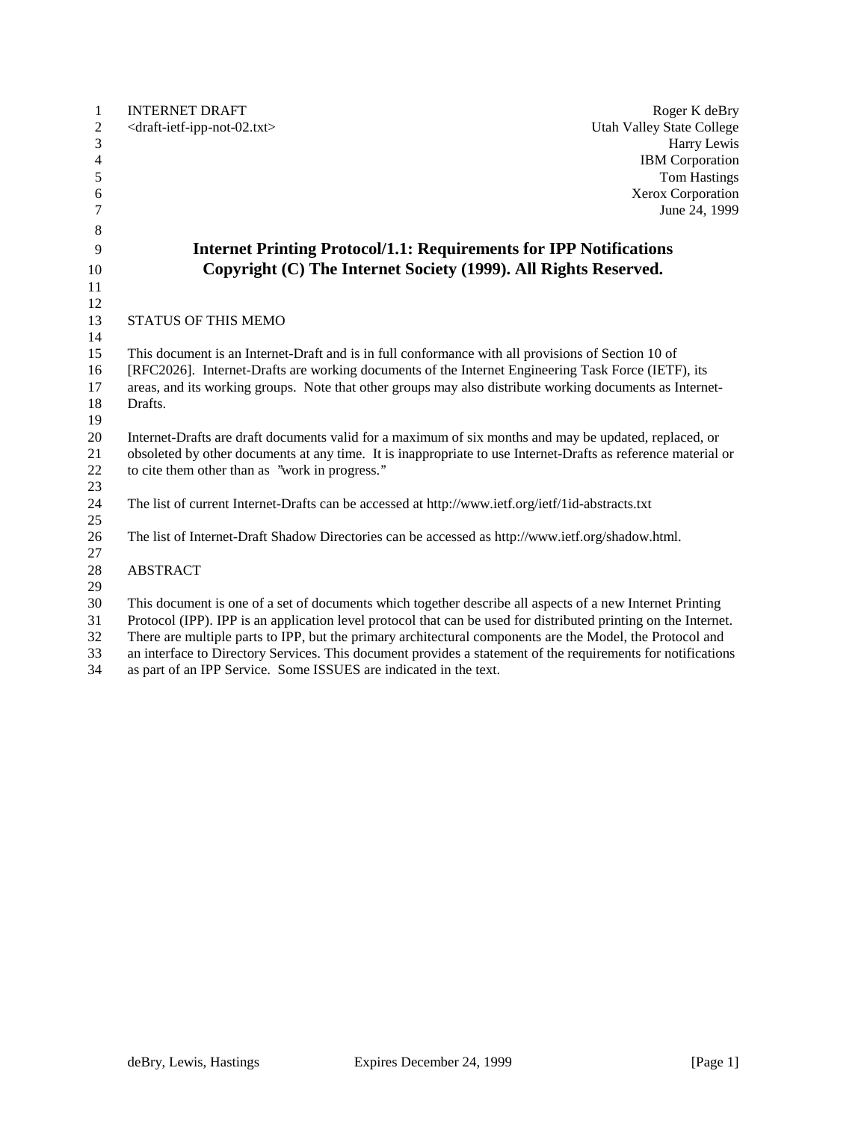| 1              | <b>INTERNET DRAFT</b><br>Roger K deBry                                                                                                                                                                                  |
|----------------|-------------------------------------------------------------------------------------------------------------------------------------------------------------------------------------------------------------------------|
| $\overline{c}$ | <draft-ietf-ipp-not-02.txt><br/><b>Utah Valley State College</b></draft-ietf-ipp-not-02.txt>                                                                                                                            |
| 3              | Harry Lewis                                                                                                                                                                                                             |
| $\overline{4}$ | <b>IBM</b> Corporation                                                                                                                                                                                                  |
| 5              | <b>Tom Hastings</b>                                                                                                                                                                                                     |
| 6              | Xerox Corporation                                                                                                                                                                                                       |
| 7              | June 24, 1999                                                                                                                                                                                                           |
| 8              |                                                                                                                                                                                                                         |
| 9              | <b>Internet Printing Protocol/1.1: Requirements for IPP Notifications</b>                                                                                                                                               |
| 10             | Copyright (C) The Internet Society (1999). All Rights Reserved.                                                                                                                                                         |
| 11             |                                                                                                                                                                                                                         |
| 12             |                                                                                                                                                                                                                         |
| 13             | STATUS OF THIS MEMO                                                                                                                                                                                                     |
| 14             |                                                                                                                                                                                                                         |
| 15             | This document is an Internet-Draft and is in full conformance with all provisions of Section 10 of                                                                                                                      |
| 16             | [RFC2026]. Internet-Drafts are working documents of the Internet Engineering Task Force (IETF), its                                                                                                                     |
| 17             | areas, and its working groups. Note that other groups may also distribute working documents as Internet-                                                                                                                |
| 18             | Drafts.                                                                                                                                                                                                                 |
| 19             |                                                                                                                                                                                                                         |
| 20             | Internet-Drafts are draft documents valid for a maximum of six months and may be updated, replaced, or<br>obsoleted by other documents at any time. It is inappropriate to use Internet-Drafts as reference material or |
| 21<br>22       | to cite them other than as "work in progress."                                                                                                                                                                          |
| 23             |                                                                                                                                                                                                                         |
| 24             | The list of current Internet-Drafts can be accessed at http://www.ietf.org/ietf/1id-abstracts.txt                                                                                                                       |
| 25             |                                                                                                                                                                                                                         |
| 26             | The list of Internet-Draft Shadow Directories can be accessed as http://www.ietf.org/shadow.html.                                                                                                                       |
| 27             |                                                                                                                                                                                                                         |
| 28             | <b>ABSTRACT</b>                                                                                                                                                                                                         |
| 29             |                                                                                                                                                                                                                         |
| 30             | This document is one of a set of documents which together describe all aspects of a new Internet Printing                                                                                                               |
| 31             | Protocol (IPP). IPP is an application level protocol that can be used for distributed printing on the Internet.                                                                                                         |
| 32             | There are multiple parts to IPP, but the primary architectural components are the Model, the Protocol and                                                                                                               |
| 33             | an interface to Directory Services. This document provides a statement of the requirements for notifications                                                                                                            |
| 34             | as part of an IPP Service. Some ISSUES are indicated in the text.                                                                                                                                                       |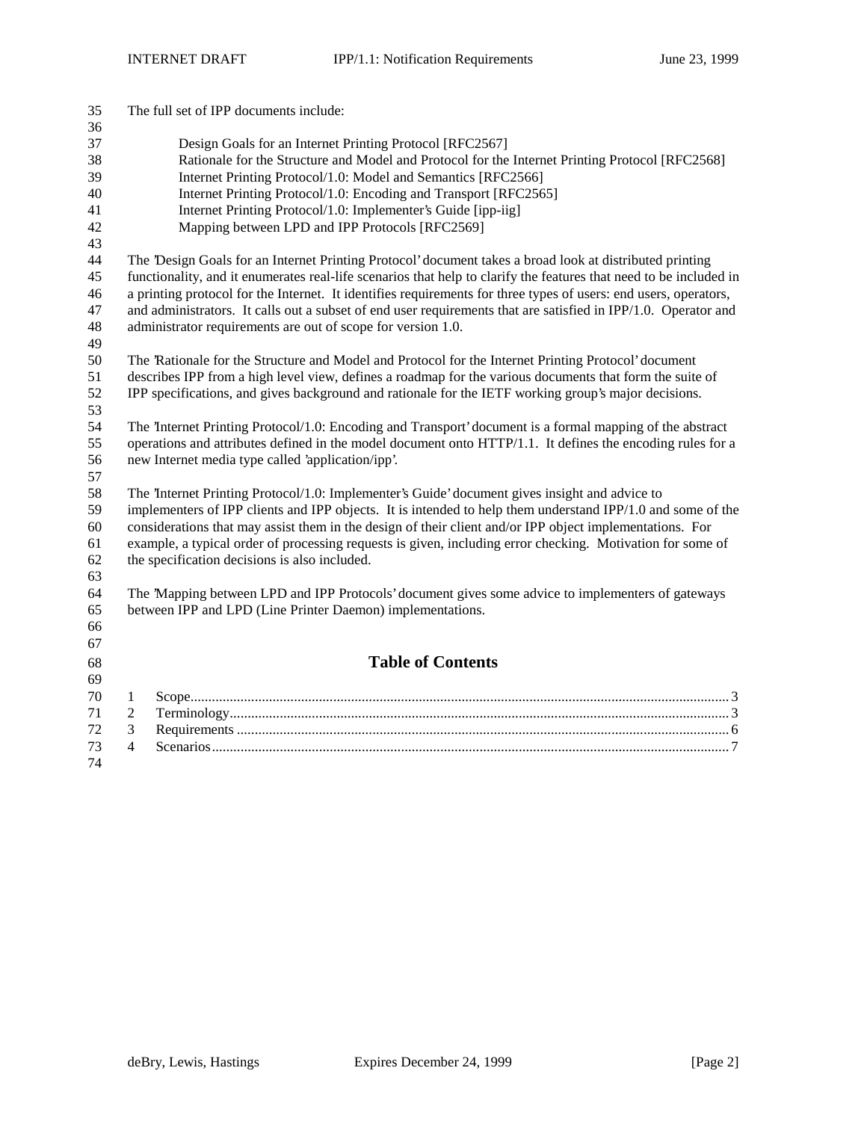| 35<br>36 |                                                                                                          | The full set of IPP documents include:                                                                             |  |  |
|----------|----------------------------------------------------------------------------------------------------------|--------------------------------------------------------------------------------------------------------------------|--|--|
| 37       |                                                                                                          | Design Goals for an Internet Printing Protocol [RFC2567]                                                           |  |  |
| 38       | Rationale for the Structure and Model and Protocol for the Internet Printing Protocol [RFC2568]          |                                                                                                                    |  |  |
| 39       |                                                                                                          | Internet Printing Protocol/1.0: Model and Semantics [RFC2566]                                                      |  |  |
| 40       |                                                                                                          | Internet Printing Protocol/1.0: Encoding and Transport [RFC2565]                                                   |  |  |
| 41       |                                                                                                          | Internet Printing Protocol/1.0: Implementer's Guide [ipp-iig]                                                      |  |  |
| 42       |                                                                                                          | Mapping between LPD and IPP Protocols [RFC2569]                                                                    |  |  |
| 43       |                                                                                                          |                                                                                                                    |  |  |
| 44       |                                                                                                          | The 'Design Goals for an Internet Printing Protocol' document takes a broad look at distributed printing           |  |  |
| 45       |                                                                                                          | functionality, and it enumerates real-life scenarios that help to clarify the features that need to be included in |  |  |
| 46       |                                                                                                          | a printing protocol for the Internet. It identifies requirements for three types of users: end users, operators,   |  |  |
| 47       |                                                                                                          | and administrators. It calls out a subset of end user requirements that are satisfied in IPP/1.0. Operator and     |  |  |
| 48       |                                                                                                          | administrator requirements are out of scope for version 1.0.                                                       |  |  |
| 49       |                                                                                                          |                                                                                                                    |  |  |
| 50       |                                                                                                          | The Rationale for the Structure and Model and Protocol for the Internet Printing Protocol' document                |  |  |
| 51       |                                                                                                          | describes IPP from a high level view, defines a roadmap for the various documents that form the suite of           |  |  |
| 52<br>53 |                                                                                                          | IPP specifications, and gives background and rationale for the IETF working group's major decisions.               |  |  |
| 54       |                                                                                                          | The Internet Printing Protocol/1.0: Encoding and Transport' document is a formal mapping of the abstract           |  |  |
| 55       |                                                                                                          | operations and attributes defined in the model document onto HTTP/1.1. It defines the encoding rules for a         |  |  |
| 56       |                                                                                                          | new Internet media type called 'application/ipp'.                                                                  |  |  |
| 57       |                                                                                                          |                                                                                                                    |  |  |
| 58       |                                                                                                          | The Internet Printing Protocol/1.0: Implementer's Guide' document gives insight and advice to                      |  |  |
| 59       |                                                                                                          | implementers of IPP clients and IPP objects. It is intended to help them understand IPP/1.0 and some of the        |  |  |
| 60       | considerations that may assist them in the design of their client and/or IPP object implementations. For |                                                                                                                    |  |  |
| 61       |                                                                                                          | example, a typical order of processing requests is given, including error checking. Motivation for some of         |  |  |
| 62       |                                                                                                          | the specification decisions is also included.                                                                      |  |  |
| 63       |                                                                                                          |                                                                                                                    |  |  |
| 64       |                                                                                                          | The 'Mapping between LPD and IPP Protocols' document gives some advice to implementers of gateways                 |  |  |
| 65       |                                                                                                          | between IPP and LPD (Line Printer Daemon) implementations.                                                         |  |  |
| 66       |                                                                                                          |                                                                                                                    |  |  |
| 67       |                                                                                                          |                                                                                                                    |  |  |
| 68       |                                                                                                          | <b>Table of Contents</b>                                                                                           |  |  |
| 69       |                                                                                                          |                                                                                                                    |  |  |
| 70       | 1                                                                                                        |                                                                                                                    |  |  |
| 71       | 2                                                                                                        |                                                                                                                    |  |  |
| 72<br>73 | 3<br>$\overline{4}$                                                                                      |                                                                                                                    |  |  |
| 74       |                                                                                                          |                                                                                                                    |  |  |
|          |                                                                                                          |                                                                                                                    |  |  |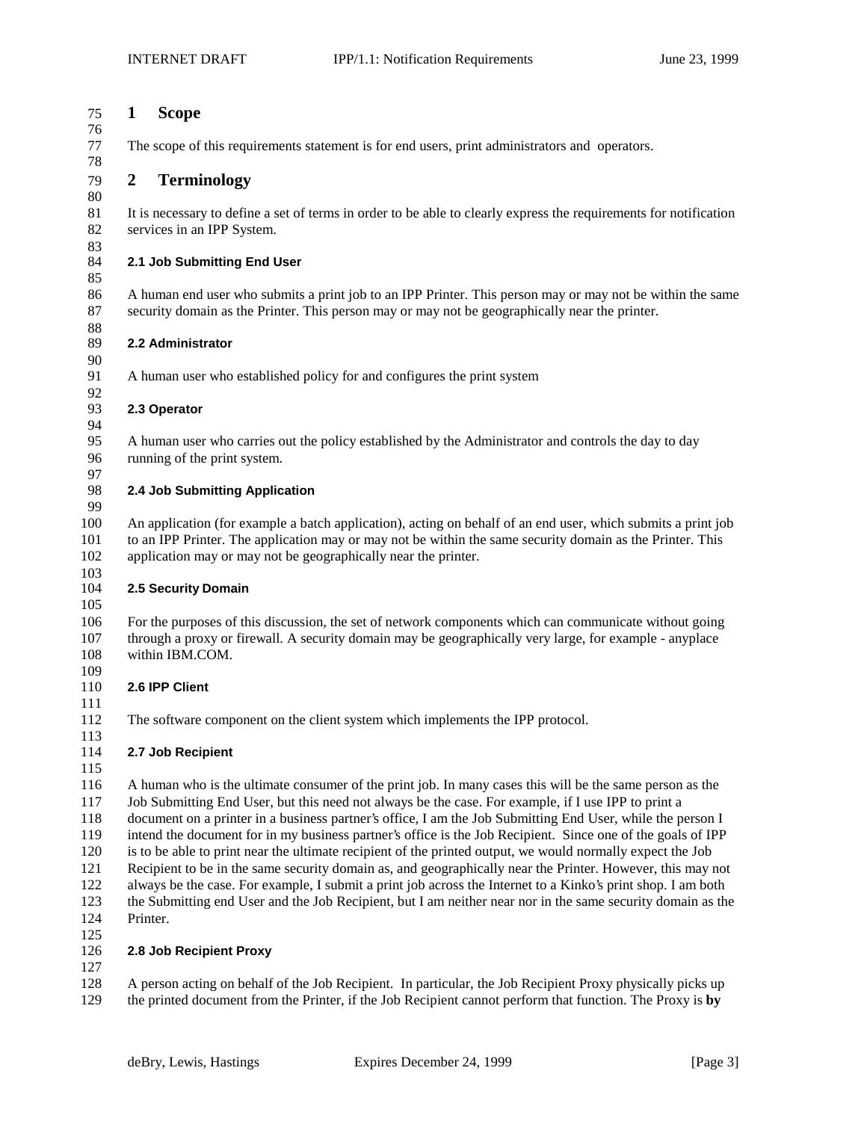#### **1 Scope**

The scope of this requirements statement is for end users, print administrators and operators.

# **2 Terminology**

 It is necessary to define a set of terms in order to be able to clearly express the requirements for notification services in an IPP System.

# **2.1 Job Submitting End User**

 A human end user who submits a print job to an IPP Printer. This person may or may not be within the same security domain as the Printer. This person may or may not be geographically near the printer.

### **2.2 Administrator**

A human user who established policy for and configures the print system

#### 92<br>93 **2.3 Operator**

 A human user who carries out the policy established by the Administrator and controls the day to day running of the print system.

97<br>98

### **2.4 Job Submitting Application**

 An application (for example a batch application), acting on behalf of an end user, which submits a print job to an IPP Printer. The application may or may not be within the same security domain as the Printer. This application may or may not be geographically near the printer.

### 103<br>104 **2.5 Security Domain**

 For the purposes of this discussion, the set of network components which can communicate without going through a proxy or firewall. A security domain may be geographically very large, for example - anyplace within IBM.COM.

### **2.6 IPP Client**

The software component on the client system which implements the IPP protocol.

# **2.7 Job Recipient**

 A human who is the ultimate consumer of the print job. In many cases this will be the same person as the Job Submitting End User, but this need not always be the case. For example, if I use IPP to print a document on a printer in a business partner's office, I am the Job Submitting End User, while the person I intend the document for in my business partner's office is the Job Recipient. Since one of the goals of IPP is to be able to print near the ultimate recipient of the printed output, we would normally expect the Job Recipient to be in the same security domain as, and geographically near the Printer. However, this may not always be the case. For example, I submit a print job across the Internet to a Kinko's print shop. I am both the Submitting end User and the Job Recipient, but I am neither near nor in the same security domain as the Printer.

## $\frac{125}{126}$ **2.8 Job Recipient Proxy**

 A person acting on behalf of the Job Recipient. In particular, the Job Recipient Proxy physically picks up the printed document from the Printer, if the Job Recipient cannot perform that function. The Proxy is **by**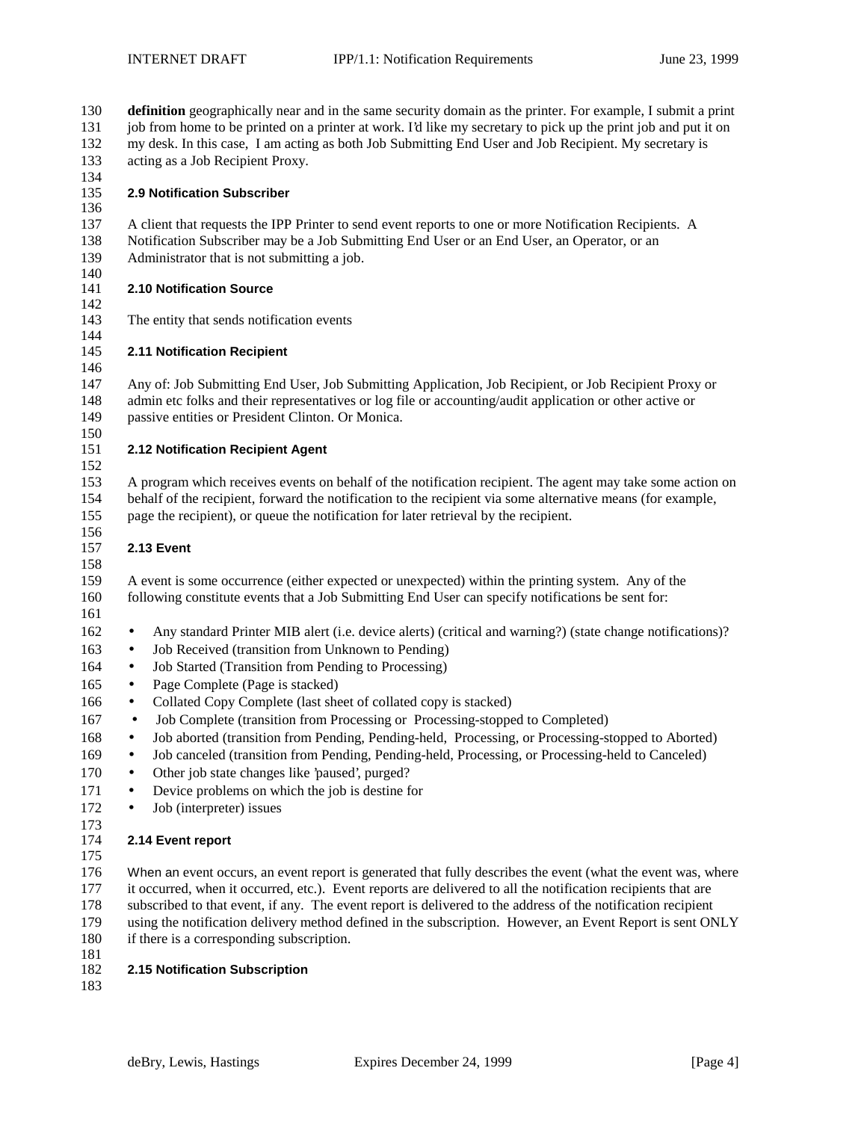**definition** geographically near and in the same security domain as the printer. For example, I submit a print job from home to be printed on a printer at work. I'd like my secretary to pick up the print job and put it on my desk. In this case, I am acting as both Job Submitting End User and Job Recipient. My secretary is acting as a Job Recipient Proxy. **2.9 Notification Subscriber** A client that requests the IPP Printer to send event reports to one or more Notification Recipients. A Notification Subscriber may be a Job Submitting End User or an End User, an Operator, or an Administrator that is not submitting a job. 140<br>141 **2.10 Notification Source**  The entity that sends notification events **2.11 Notification Recipient** Any of: Job Submitting End User, Job Submitting Application, Job Recipient, or Job Recipient Proxy or admin etc folks and their representatives or log file or accounting/audit application or other active or passive entities or President Clinton. Or Monica. **2.12 Notification Recipient Agent** A program which receives events on behalf of the notification recipient. The agent may take some action on behalf of the recipient, forward the notification to the recipient via some alternative means (for example, page the recipient), or queue the notification for later retrieval by the recipient. **2.13 Event** A event is some occurrence (either expected or unexpected) within the printing system. Any of the following constitute events that a Job Submitting End User can specify notifications be sent for: • Any standard Printer MIB alert (i.e. device alerts) (critical and warning?) (state change notifications)? • Job Received (transition from Unknown to Pending) • Job Started (Transition from Pending to Processing) 165 • Page Complete (Page is stacked) • Collated Copy Complete (last sheet of collated copy is stacked) 167 • Job Complete (transition from Processing or Processing-stopped to Completed) • Job aborted (transition from Pending, Pending-held, Processing, or Processing-stopped to Aborted) • Job canceled (transition from Pending, Pending-held, Processing, or Processing-held to Canceled) 170 • Other job state changes like 'paused', purged? 171 • Device problems on which the job is destine for 172 • Job (interpreter) issues **2.14 Event report** 176 When an event occurs, an event report is generated that fully describes the event (what the event was, where it occurred, when it occurred, etc.). Event reports are delivered to all the notification recipients that are subscribed to that event, if any. The event report is delivered to the address of the notification recipient using the notification delivery method defined in the subscription. However, an Event Report is sent ONLY if there is a corresponding subscription. **2.15 Notification Subscription**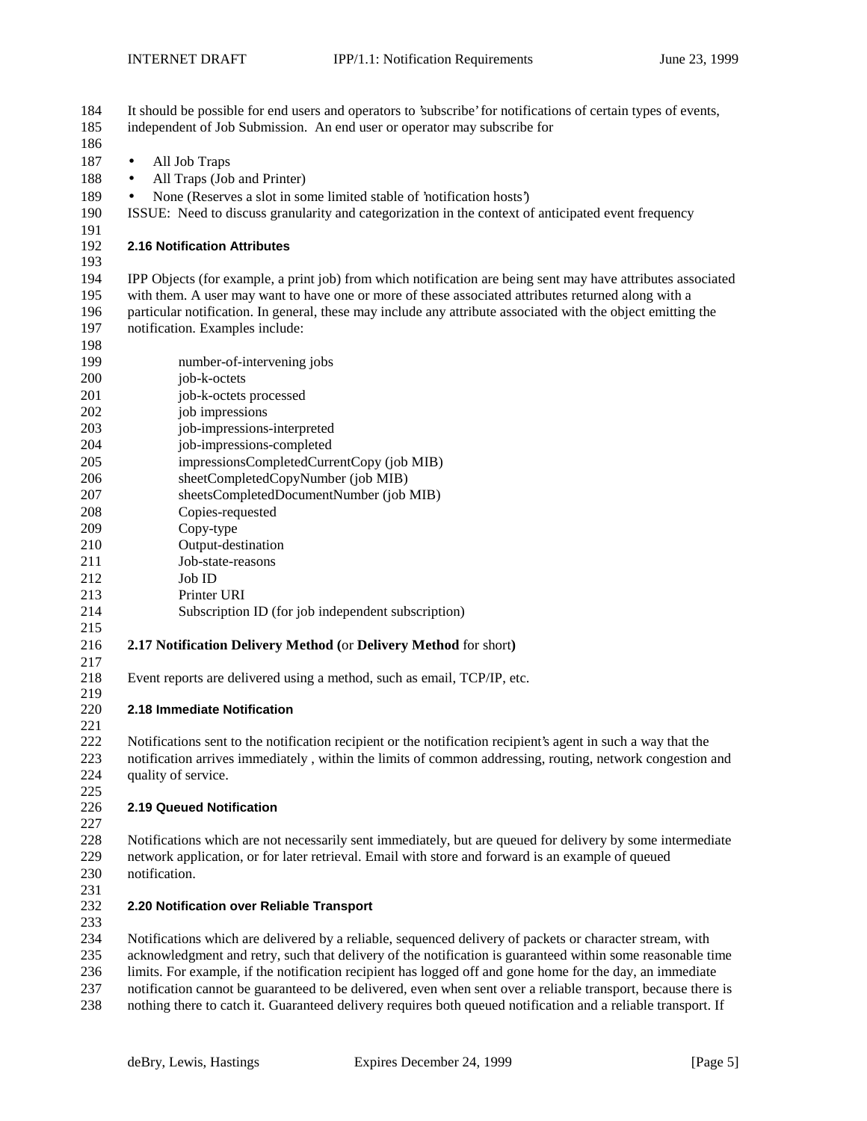| 186<br>187<br>All Job Traps<br>$\bullet$<br>188<br>All Traps (Job and Printer)<br>$\bullet$<br>None (Reserves a slot in some limited stable of 'notification hosts')<br>189<br>$\bullet$<br>190<br>ISSUE: Need to discuss granularity and categorization in the context of anticipated event frequency<br>191<br>192<br><b>2.16 Notification Attributes</b><br>193<br>194<br>IPP Objects (for example, a print job) from which notification are being sent may have attributes associated<br>195<br>with them. A user may want to have one or more of these associated attributes returned along with a<br>particular notification. In general, these may include any attribute associated with the object emitting the<br>196<br>197<br>notification. Examples include:<br>198<br>199<br>number-of-intervening jobs<br>200<br>job-k-octets<br>201<br>job-k-octets processed<br>job impressions<br>202<br>203<br>job-impressions-interpreted<br>204<br>job-impressions-completed<br>impressionsCompletedCurrentCopy (job MIB)<br>205<br>206<br>sheetCompletedCopyNumber (job MIB)<br>207<br>sheetsCompletedDocumentNumber (job MIB)<br>Copies-requested<br>208<br>209<br>Copy-type<br>210<br>Output-destination<br>211<br>Job-state-reasons<br>212<br>Job ID<br>213<br>Printer URI<br>214<br>Subscription ID (for job independent subscription)<br>215<br>216<br>2.17 Notification Delivery Method (or Delivery Method for short)<br>217<br>218<br>Event reports are delivered using a method, such as email, TCP/IP, etc.<br>219<br>220<br>2.18 Immediate Notification<br>221<br>Notifications sent to the notification recipient or the notification recipient's agent in such a way that the<br>222<br>notification arrives immediately, within the limits of common addressing, routing, network congestion and<br>223<br>224<br>quality of service.<br>225<br>226<br>2.19 Queued Notification<br>227<br>$228\,$<br>Notifications which are not necessarily sent immediately, but are queued for delivery by some intermediate<br>229<br>network application, or for later retrieval. Email with store and forward is an example of queued<br>230<br>notification.<br>231<br>232<br>2.20 Notification over Reliable Transport<br>233<br>234<br>Notifications which are delivered by a reliable, sequenced delivery of packets or character stream, with<br>235<br>acknowledgment and retry, such that delivery of the notification is guaranteed within some reasonable time<br>236<br>limits. For example, if the notification recipient has logged off and gone home for the day, an immediate<br>237<br>notification cannot be guaranteed to be delivered, even when sent over a reliable transport, because there is | 184<br>185 | It should be possible for end users and operators to 'subscribe' for notifications of certain types of events,<br>independent of Job Submission. An end user or operator may subscribe for |
|------------------------------------------------------------------------------------------------------------------------------------------------------------------------------------------------------------------------------------------------------------------------------------------------------------------------------------------------------------------------------------------------------------------------------------------------------------------------------------------------------------------------------------------------------------------------------------------------------------------------------------------------------------------------------------------------------------------------------------------------------------------------------------------------------------------------------------------------------------------------------------------------------------------------------------------------------------------------------------------------------------------------------------------------------------------------------------------------------------------------------------------------------------------------------------------------------------------------------------------------------------------------------------------------------------------------------------------------------------------------------------------------------------------------------------------------------------------------------------------------------------------------------------------------------------------------------------------------------------------------------------------------------------------------------------------------------------------------------------------------------------------------------------------------------------------------------------------------------------------------------------------------------------------------------------------------------------------------------------------------------------------------------------------------------------------------------------------------------------------------------------------------------------------------------------------------------------------------------------------------------------------------------------------------------------------------------------------------------------------------------------------------------------------------------------------------------------------------------------------------------------------------------------------------------------------------------------------------------------------------------------------------------------------------------------------------------------------------------|------------|--------------------------------------------------------------------------------------------------------------------------------------------------------------------------------------------|
|                                                                                                                                                                                                                                                                                                                                                                                                                                                                                                                                                                                                                                                                                                                                                                                                                                                                                                                                                                                                                                                                                                                                                                                                                                                                                                                                                                                                                                                                                                                                                                                                                                                                                                                                                                                                                                                                                                                                                                                                                                                                                                                                                                                                                                                                                                                                                                                                                                                                                                                                                                                                                                                                                                                              |            |                                                                                                                                                                                            |
|                                                                                                                                                                                                                                                                                                                                                                                                                                                                                                                                                                                                                                                                                                                                                                                                                                                                                                                                                                                                                                                                                                                                                                                                                                                                                                                                                                                                                                                                                                                                                                                                                                                                                                                                                                                                                                                                                                                                                                                                                                                                                                                                                                                                                                                                                                                                                                                                                                                                                                                                                                                                                                                                                                                              |            |                                                                                                                                                                                            |
|                                                                                                                                                                                                                                                                                                                                                                                                                                                                                                                                                                                                                                                                                                                                                                                                                                                                                                                                                                                                                                                                                                                                                                                                                                                                                                                                                                                                                                                                                                                                                                                                                                                                                                                                                                                                                                                                                                                                                                                                                                                                                                                                                                                                                                                                                                                                                                                                                                                                                                                                                                                                                                                                                                                              |            |                                                                                                                                                                                            |
|                                                                                                                                                                                                                                                                                                                                                                                                                                                                                                                                                                                                                                                                                                                                                                                                                                                                                                                                                                                                                                                                                                                                                                                                                                                                                                                                                                                                                                                                                                                                                                                                                                                                                                                                                                                                                                                                                                                                                                                                                                                                                                                                                                                                                                                                                                                                                                                                                                                                                                                                                                                                                                                                                                                              |            |                                                                                                                                                                                            |
|                                                                                                                                                                                                                                                                                                                                                                                                                                                                                                                                                                                                                                                                                                                                                                                                                                                                                                                                                                                                                                                                                                                                                                                                                                                                                                                                                                                                                                                                                                                                                                                                                                                                                                                                                                                                                                                                                                                                                                                                                                                                                                                                                                                                                                                                                                                                                                                                                                                                                                                                                                                                                                                                                                                              |            |                                                                                                                                                                                            |
|                                                                                                                                                                                                                                                                                                                                                                                                                                                                                                                                                                                                                                                                                                                                                                                                                                                                                                                                                                                                                                                                                                                                                                                                                                                                                                                                                                                                                                                                                                                                                                                                                                                                                                                                                                                                                                                                                                                                                                                                                                                                                                                                                                                                                                                                                                                                                                                                                                                                                                                                                                                                                                                                                                                              |            |                                                                                                                                                                                            |
|                                                                                                                                                                                                                                                                                                                                                                                                                                                                                                                                                                                                                                                                                                                                                                                                                                                                                                                                                                                                                                                                                                                                                                                                                                                                                                                                                                                                                                                                                                                                                                                                                                                                                                                                                                                                                                                                                                                                                                                                                                                                                                                                                                                                                                                                                                                                                                                                                                                                                                                                                                                                                                                                                                                              |            |                                                                                                                                                                                            |
|                                                                                                                                                                                                                                                                                                                                                                                                                                                                                                                                                                                                                                                                                                                                                                                                                                                                                                                                                                                                                                                                                                                                                                                                                                                                                                                                                                                                                                                                                                                                                                                                                                                                                                                                                                                                                                                                                                                                                                                                                                                                                                                                                                                                                                                                                                                                                                                                                                                                                                                                                                                                                                                                                                                              |            |                                                                                                                                                                                            |
|                                                                                                                                                                                                                                                                                                                                                                                                                                                                                                                                                                                                                                                                                                                                                                                                                                                                                                                                                                                                                                                                                                                                                                                                                                                                                                                                                                                                                                                                                                                                                                                                                                                                                                                                                                                                                                                                                                                                                                                                                                                                                                                                                                                                                                                                                                                                                                                                                                                                                                                                                                                                                                                                                                                              |            |                                                                                                                                                                                            |
|                                                                                                                                                                                                                                                                                                                                                                                                                                                                                                                                                                                                                                                                                                                                                                                                                                                                                                                                                                                                                                                                                                                                                                                                                                                                                                                                                                                                                                                                                                                                                                                                                                                                                                                                                                                                                                                                                                                                                                                                                                                                                                                                                                                                                                                                                                                                                                                                                                                                                                                                                                                                                                                                                                                              |            |                                                                                                                                                                                            |
|                                                                                                                                                                                                                                                                                                                                                                                                                                                                                                                                                                                                                                                                                                                                                                                                                                                                                                                                                                                                                                                                                                                                                                                                                                                                                                                                                                                                                                                                                                                                                                                                                                                                                                                                                                                                                                                                                                                                                                                                                                                                                                                                                                                                                                                                                                                                                                                                                                                                                                                                                                                                                                                                                                                              |            |                                                                                                                                                                                            |
|                                                                                                                                                                                                                                                                                                                                                                                                                                                                                                                                                                                                                                                                                                                                                                                                                                                                                                                                                                                                                                                                                                                                                                                                                                                                                                                                                                                                                                                                                                                                                                                                                                                                                                                                                                                                                                                                                                                                                                                                                                                                                                                                                                                                                                                                                                                                                                                                                                                                                                                                                                                                                                                                                                                              |            |                                                                                                                                                                                            |
|                                                                                                                                                                                                                                                                                                                                                                                                                                                                                                                                                                                                                                                                                                                                                                                                                                                                                                                                                                                                                                                                                                                                                                                                                                                                                                                                                                                                                                                                                                                                                                                                                                                                                                                                                                                                                                                                                                                                                                                                                                                                                                                                                                                                                                                                                                                                                                                                                                                                                                                                                                                                                                                                                                                              |            |                                                                                                                                                                                            |
|                                                                                                                                                                                                                                                                                                                                                                                                                                                                                                                                                                                                                                                                                                                                                                                                                                                                                                                                                                                                                                                                                                                                                                                                                                                                                                                                                                                                                                                                                                                                                                                                                                                                                                                                                                                                                                                                                                                                                                                                                                                                                                                                                                                                                                                                                                                                                                                                                                                                                                                                                                                                                                                                                                                              |            |                                                                                                                                                                                            |
|                                                                                                                                                                                                                                                                                                                                                                                                                                                                                                                                                                                                                                                                                                                                                                                                                                                                                                                                                                                                                                                                                                                                                                                                                                                                                                                                                                                                                                                                                                                                                                                                                                                                                                                                                                                                                                                                                                                                                                                                                                                                                                                                                                                                                                                                                                                                                                                                                                                                                                                                                                                                                                                                                                                              |            |                                                                                                                                                                                            |
|                                                                                                                                                                                                                                                                                                                                                                                                                                                                                                                                                                                                                                                                                                                                                                                                                                                                                                                                                                                                                                                                                                                                                                                                                                                                                                                                                                                                                                                                                                                                                                                                                                                                                                                                                                                                                                                                                                                                                                                                                                                                                                                                                                                                                                                                                                                                                                                                                                                                                                                                                                                                                                                                                                                              |            |                                                                                                                                                                                            |
|                                                                                                                                                                                                                                                                                                                                                                                                                                                                                                                                                                                                                                                                                                                                                                                                                                                                                                                                                                                                                                                                                                                                                                                                                                                                                                                                                                                                                                                                                                                                                                                                                                                                                                                                                                                                                                                                                                                                                                                                                                                                                                                                                                                                                                                                                                                                                                                                                                                                                                                                                                                                                                                                                                                              |            |                                                                                                                                                                                            |
|                                                                                                                                                                                                                                                                                                                                                                                                                                                                                                                                                                                                                                                                                                                                                                                                                                                                                                                                                                                                                                                                                                                                                                                                                                                                                                                                                                                                                                                                                                                                                                                                                                                                                                                                                                                                                                                                                                                                                                                                                                                                                                                                                                                                                                                                                                                                                                                                                                                                                                                                                                                                                                                                                                                              |            |                                                                                                                                                                                            |
|                                                                                                                                                                                                                                                                                                                                                                                                                                                                                                                                                                                                                                                                                                                                                                                                                                                                                                                                                                                                                                                                                                                                                                                                                                                                                                                                                                                                                                                                                                                                                                                                                                                                                                                                                                                                                                                                                                                                                                                                                                                                                                                                                                                                                                                                                                                                                                                                                                                                                                                                                                                                                                                                                                                              |            |                                                                                                                                                                                            |
|                                                                                                                                                                                                                                                                                                                                                                                                                                                                                                                                                                                                                                                                                                                                                                                                                                                                                                                                                                                                                                                                                                                                                                                                                                                                                                                                                                                                                                                                                                                                                                                                                                                                                                                                                                                                                                                                                                                                                                                                                                                                                                                                                                                                                                                                                                                                                                                                                                                                                                                                                                                                                                                                                                                              |            |                                                                                                                                                                                            |
|                                                                                                                                                                                                                                                                                                                                                                                                                                                                                                                                                                                                                                                                                                                                                                                                                                                                                                                                                                                                                                                                                                                                                                                                                                                                                                                                                                                                                                                                                                                                                                                                                                                                                                                                                                                                                                                                                                                                                                                                                                                                                                                                                                                                                                                                                                                                                                                                                                                                                                                                                                                                                                                                                                                              |            |                                                                                                                                                                                            |
|                                                                                                                                                                                                                                                                                                                                                                                                                                                                                                                                                                                                                                                                                                                                                                                                                                                                                                                                                                                                                                                                                                                                                                                                                                                                                                                                                                                                                                                                                                                                                                                                                                                                                                                                                                                                                                                                                                                                                                                                                                                                                                                                                                                                                                                                                                                                                                                                                                                                                                                                                                                                                                                                                                                              |            |                                                                                                                                                                                            |
|                                                                                                                                                                                                                                                                                                                                                                                                                                                                                                                                                                                                                                                                                                                                                                                                                                                                                                                                                                                                                                                                                                                                                                                                                                                                                                                                                                                                                                                                                                                                                                                                                                                                                                                                                                                                                                                                                                                                                                                                                                                                                                                                                                                                                                                                                                                                                                                                                                                                                                                                                                                                                                                                                                                              |            |                                                                                                                                                                                            |
|                                                                                                                                                                                                                                                                                                                                                                                                                                                                                                                                                                                                                                                                                                                                                                                                                                                                                                                                                                                                                                                                                                                                                                                                                                                                                                                                                                                                                                                                                                                                                                                                                                                                                                                                                                                                                                                                                                                                                                                                                                                                                                                                                                                                                                                                                                                                                                                                                                                                                                                                                                                                                                                                                                                              |            |                                                                                                                                                                                            |
|                                                                                                                                                                                                                                                                                                                                                                                                                                                                                                                                                                                                                                                                                                                                                                                                                                                                                                                                                                                                                                                                                                                                                                                                                                                                                                                                                                                                                                                                                                                                                                                                                                                                                                                                                                                                                                                                                                                                                                                                                                                                                                                                                                                                                                                                                                                                                                                                                                                                                                                                                                                                                                                                                                                              |            |                                                                                                                                                                                            |
|                                                                                                                                                                                                                                                                                                                                                                                                                                                                                                                                                                                                                                                                                                                                                                                                                                                                                                                                                                                                                                                                                                                                                                                                                                                                                                                                                                                                                                                                                                                                                                                                                                                                                                                                                                                                                                                                                                                                                                                                                                                                                                                                                                                                                                                                                                                                                                                                                                                                                                                                                                                                                                                                                                                              |            |                                                                                                                                                                                            |
|                                                                                                                                                                                                                                                                                                                                                                                                                                                                                                                                                                                                                                                                                                                                                                                                                                                                                                                                                                                                                                                                                                                                                                                                                                                                                                                                                                                                                                                                                                                                                                                                                                                                                                                                                                                                                                                                                                                                                                                                                                                                                                                                                                                                                                                                                                                                                                                                                                                                                                                                                                                                                                                                                                                              |            |                                                                                                                                                                                            |
|                                                                                                                                                                                                                                                                                                                                                                                                                                                                                                                                                                                                                                                                                                                                                                                                                                                                                                                                                                                                                                                                                                                                                                                                                                                                                                                                                                                                                                                                                                                                                                                                                                                                                                                                                                                                                                                                                                                                                                                                                                                                                                                                                                                                                                                                                                                                                                                                                                                                                                                                                                                                                                                                                                                              |            |                                                                                                                                                                                            |
|                                                                                                                                                                                                                                                                                                                                                                                                                                                                                                                                                                                                                                                                                                                                                                                                                                                                                                                                                                                                                                                                                                                                                                                                                                                                                                                                                                                                                                                                                                                                                                                                                                                                                                                                                                                                                                                                                                                                                                                                                                                                                                                                                                                                                                                                                                                                                                                                                                                                                                                                                                                                                                                                                                                              |            |                                                                                                                                                                                            |
|                                                                                                                                                                                                                                                                                                                                                                                                                                                                                                                                                                                                                                                                                                                                                                                                                                                                                                                                                                                                                                                                                                                                                                                                                                                                                                                                                                                                                                                                                                                                                                                                                                                                                                                                                                                                                                                                                                                                                                                                                                                                                                                                                                                                                                                                                                                                                                                                                                                                                                                                                                                                                                                                                                                              |            |                                                                                                                                                                                            |
|                                                                                                                                                                                                                                                                                                                                                                                                                                                                                                                                                                                                                                                                                                                                                                                                                                                                                                                                                                                                                                                                                                                                                                                                                                                                                                                                                                                                                                                                                                                                                                                                                                                                                                                                                                                                                                                                                                                                                                                                                                                                                                                                                                                                                                                                                                                                                                                                                                                                                                                                                                                                                                                                                                                              |            |                                                                                                                                                                                            |
|                                                                                                                                                                                                                                                                                                                                                                                                                                                                                                                                                                                                                                                                                                                                                                                                                                                                                                                                                                                                                                                                                                                                                                                                                                                                                                                                                                                                                                                                                                                                                                                                                                                                                                                                                                                                                                                                                                                                                                                                                                                                                                                                                                                                                                                                                                                                                                                                                                                                                                                                                                                                                                                                                                                              |            |                                                                                                                                                                                            |
|                                                                                                                                                                                                                                                                                                                                                                                                                                                                                                                                                                                                                                                                                                                                                                                                                                                                                                                                                                                                                                                                                                                                                                                                                                                                                                                                                                                                                                                                                                                                                                                                                                                                                                                                                                                                                                                                                                                                                                                                                                                                                                                                                                                                                                                                                                                                                                                                                                                                                                                                                                                                                                                                                                                              |            |                                                                                                                                                                                            |
|                                                                                                                                                                                                                                                                                                                                                                                                                                                                                                                                                                                                                                                                                                                                                                                                                                                                                                                                                                                                                                                                                                                                                                                                                                                                                                                                                                                                                                                                                                                                                                                                                                                                                                                                                                                                                                                                                                                                                                                                                                                                                                                                                                                                                                                                                                                                                                                                                                                                                                                                                                                                                                                                                                                              |            |                                                                                                                                                                                            |
|                                                                                                                                                                                                                                                                                                                                                                                                                                                                                                                                                                                                                                                                                                                                                                                                                                                                                                                                                                                                                                                                                                                                                                                                                                                                                                                                                                                                                                                                                                                                                                                                                                                                                                                                                                                                                                                                                                                                                                                                                                                                                                                                                                                                                                                                                                                                                                                                                                                                                                                                                                                                                                                                                                                              |            |                                                                                                                                                                                            |
|                                                                                                                                                                                                                                                                                                                                                                                                                                                                                                                                                                                                                                                                                                                                                                                                                                                                                                                                                                                                                                                                                                                                                                                                                                                                                                                                                                                                                                                                                                                                                                                                                                                                                                                                                                                                                                                                                                                                                                                                                                                                                                                                                                                                                                                                                                                                                                                                                                                                                                                                                                                                                                                                                                                              |            |                                                                                                                                                                                            |
|                                                                                                                                                                                                                                                                                                                                                                                                                                                                                                                                                                                                                                                                                                                                                                                                                                                                                                                                                                                                                                                                                                                                                                                                                                                                                                                                                                                                                                                                                                                                                                                                                                                                                                                                                                                                                                                                                                                                                                                                                                                                                                                                                                                                                                                                                                                                                                                                                                                                                                                                                                                                                                                                                                                              |            |                                                                                                                                                                                            |
|                                                                                                                                                                                                                                                                                                                                                                                                                                                                                                                                                                                                                                                                                                                                                                                                                                                                                                                                                                                                                                                                                                                                                                                                                                                                                                                                                                                                                                                                                                                                                                                                                                                                                                                                                                                                                                                                                                                                                                                                                                                                                                                                                                                                                                                                                                                                                                                                                                                                                                                                                                                                                                                                                                                              |            |                                                                                                                                                                                            |
|                                                                                                                                                                                                                                                                                                                                                                                                                                                                                                                                                                                                                                                                                                                                                                                                                                                                                                                                                                                                                                                                                                                                                                                                                                                                                                                                                                                                                                                                                                                                                                                                                                                                                                                                                                                                                                                                                                                                                                                                                                                                                                                                                                                                                                                                                                                                                                                                                                                                                                                                                                                                                                                                                                                              |            |                                                                                                                                                                                            |
|                                                                                                                                                                                                                                                                                                                                                                                                                                                                                                                                                                                                                                                                                                                                                                                                                                                                                                                                                                                                                                                                                                                                                                                                                                                                                                                                                                                                                                                                                                                                                                                                                                                                                                                                                                                                                                                                                                                                                                                                                                                                                                                                                                                                                                                                                                                                                                                                                                                                                                                                                                                                                                                                                                                              |            |                                                                                                                                                                                            |
|                                                                                                                                                                                                                                                                                                                                                                                                                                                                                                                                                                                                                                                                                                                                                                                                                                                                                                                                                                                                                                                                                                                                                                                                                                                                                                                                                                                                                                                                                                                                                                                                                                                                                                                                                                                                                                                                                                                                                                                                                                                                                                                                                                                                                                                                                                                                                                                                                                                                                                                                                                                                                                                                                                                              |            |                                                                                                                                                                                            |
|                                                                                                                                                                                                                                                                                                                                                                                                                                                                                                                                                                                                                                                                                                                                                                                                                                                                                                                                                                                                                                                                                                                                                                                                                                                                                                                                                                                                                                                                                                                                                                                                                                                                                                                                                                                                                                                                                                                                                                                                                                                                                                                                                                                                                                                                                                                                                                                                                                                                                                                                                                                                                                                                                                                              |            |                                                                                                                                                                                            |
|                                                                                                                                                                                                                                                                                                                                                                                                                                                                                                                                                                                                                                                                                                                                                                                                                                                                                                                                                                                                                                                                                                                                                                                                                                                                                                                                                                                                                                                                                                                                                                                                                                                                                                                                                                                                                                                                                                                                                                                                                                                                                                                                                                                                                                                                                                                                                                                                                                                                                                                                                                                                                                                                                                                              |            |                                                                                                                                                                                            |
|                                                                                                                                                                                                                                                                                                                                                                                                                                                                                                                                                                                                                                                                                                                                                                                                                                                                                                                                                                                                                                                                                                                                                                                                                                                                                                                                                                                                                                                                                                                                                                                                                                                                                                                                                                                                                                                                                                                                                                                                                                                                                                                                                                                                                                                                                                                                                                                                                                                                                                                                                                                                                                                                                                                              |            |                                                                                                                                                                                            |
|                                                                                                                                                                                                                                                                                                                                                                                                                                                                                                                                                                                                                                                                                                                                                                                                                                                                                                                                                                                                                                                                                                                                                                                                                                                                                                                                                                                                                                                                                                                                                                                                                                                                                                                                                                                                                                                                                                                                                                                                                                                                                                                                                                                                                                                                                                                                                                                                                                                                                                                                                                                                                                                                                                                              |            |                                                                                                                                                                                            |
|                                                                                                                                                                                                                                                                                                                                                                                                                                                                                                                                                                                                                                                                                                                                                                                                                                                                                                                                                                                                                                                                                                                                                                                                                                                                                                                                                                                                                                                                                                                                                                                                                                                                                                                                                                                                                                                                                                                                                                                                                                                                                                                                                                                                                                                                                                                                                                                                                                                                                                                                                                                                                                                                                                                              |            |                                                                                                                                                                                            |
|                                                                                                                                                                                                                                                                                                                                                                                                                                                                                                                                                                                                                                                                                                                                                                                                                                                                                                                                                                                                                                                                                                                                                                                                                                                                                                                                                                                                                                                                                                                                                                                                                                                                                                                                                                                                                                                                                                                                                                                                                                                                                                                                                                                                                                                                                                                                                                                                                                                                                                                                                                                                                                                                                                                              |            |                                                                                                                                                                                            |
|                                                                                                                                                                                                                                                                                                                                                                                                                                                                                                                                                                                                                                                                                                                                                                                                                                                                                                                                                                                                                                                                                                                                                                                                                                                                                                                                                                                                                                                                                                                                                                                                                                                                                                                                                                                                                                                                                                                                                                                                                                                                                                                                                                                                                                                                                                                                                                                                                                                                                                                                                                                                                                                                                                                              |            |                                                                                                                                                                                            |
|                                                                                                                                                                                                                                                                                                                                                                                                                                                                                                                                                                                                                                                                                                                                                                                                                                                                                                                                                                                                                                                                                                                                                                                                                                                                                                                                                                                                                                                                                                                                                                                                                                                                                                                                                                                                                                                                                                                                                                                                                                                                                                                                                                                                                                                                                                                                                                                                                                                                                                                                                                                                                                                                                                                              |            |                                                                                                                                                                                            |
|                                                                                                                                                                                                                                                                                                                                                                                                                                                                                                                                                                                                                                                                                                                                                                                                                                                                                                                                                                                                                                                                                                                                                                                                                                                                                                                                                                                                                                                                                                                                                                                                                                                                                                                                                                                                                                                                                                                                                                                                                                                                                                                                                                                                                                                                                                                                                                                                                                                                                                                                                                                                                                                                                                                              |            |                                                                                                                                                                                            |
|                                                                                                                                                                                                                                                                                                                                                                                                                                                                                                                                                                                                                                                                                                                                                                                                                                                                                                                                                                                                                                                                                                                                                                                                                                                                                                                                                                                                                                                                                                                                                                                                                                                                                                                                                                                                                                                                                                                                                                                                                                                                                                                                                                                                                                                                                                                                                                                                                                                                                                                                                                                                                                                                                                                              |            |                                                                                                                                                                                            |
|                                                                                                                                                                                                                                                                                                                                                                                                                                                                                                                                                                                                                                                                                                                                                                                                                                                                                                                                                                                                                                                                                                                                                                                                                                                                                                                                                                                                                                                                                                                                                                                                                                                                                                                                                                                                                                                                                                                                                                                                                                                                                                                                                                                                                                                                                                                                                                                                                                                                                                                                                                                                                                                                                                                              |            |                                                                                                                                                                                            |
|                                                                                                                                                                                                                                                                                                                                                                                                                                                                                                                                                                                                                                                                                                                                                                                                                                                                                                                                                                                                                                                                                                                                                                                                                                                                                                                                                                                                                                                                                                                                                                                                                                                                                                                                                                                                                                                                                                                                                                                                                                                                                                                                                                                                                                                                                                                                                                                                                                                                                                                                                                                                                                                                                                                              | 238        | nothing there to catch it. Guaranteed delivery requires both queued notification and a reliable transport. If                                                                              |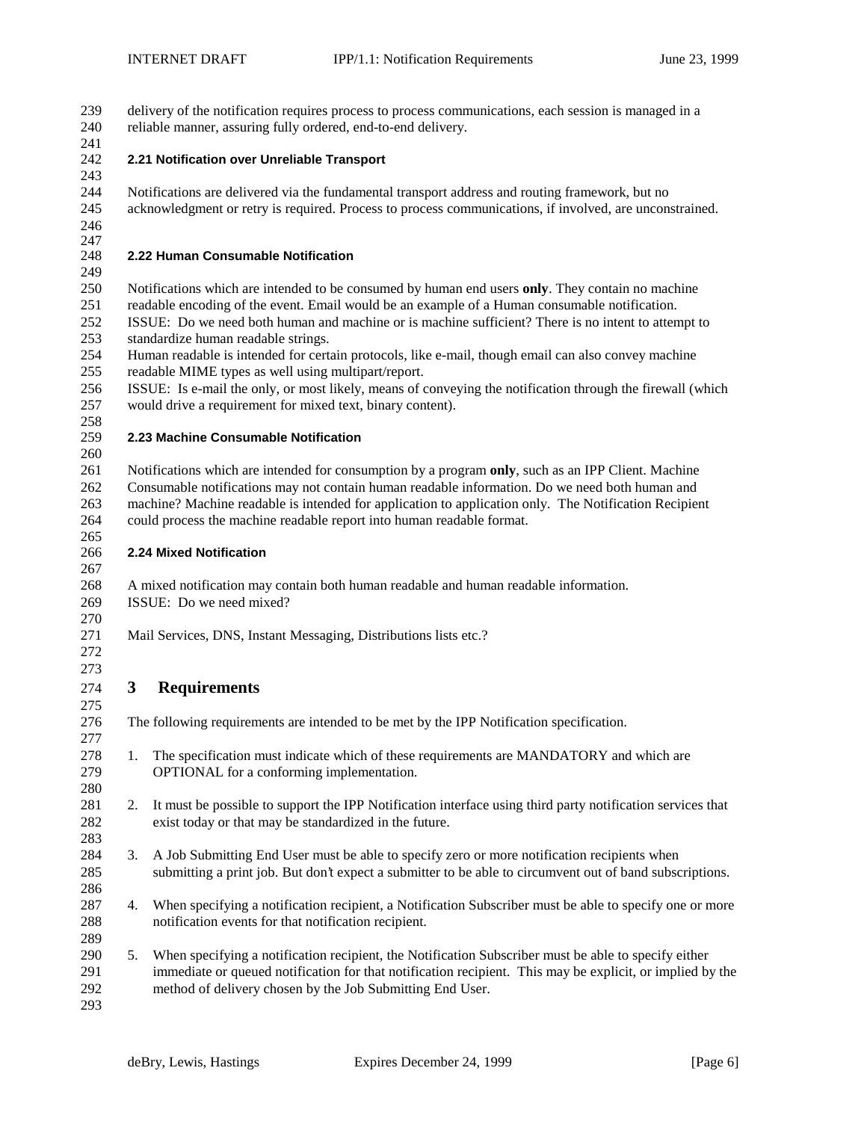delivery of the notification requires process to process communications, each session is managed in a reliable manner, assuring fully ordered, end-to-end delivery.

# **2.21 Notification over Unreliable Transport**

 

 Notifications are delivered via the fundamental transport address and routing framework, but no acknowledgment or retry is required. Process to process communications, if involved, are unconstrained.

# 

### 247<br>248 **2.22 Human Consumable Notification**

Notifications which are intended to be consumed by human end users **only**. They contain no machine

readable encoding of the event. Email would be an example of a Human consumable notification.

 ISSUE: Do we need both human and machine or is machine sufficient? There is no intent to attempt to standardize human readable strings.

 Human readable is intended for certain protocols, like e-mail, though email can also convey machine readable MIME types as well using multipart/report.

 ISSUE: Is e-mail the only, or most likely, means of conveying the notification through the firewall (which would drive a requirement for mixed text, binary content).

## **2.23 Machine Consumable Notification**

 Notifications which are intended for consumption by a program **only**, such as an IPP Client. Machine Consumable notifications may not contain human readable information. Do we need both human and machine? Machine readable is intended for application to application only. The Notification Recipient could process the machine readable report into human readable format.

### 265<br>266 **2.24 Mixed Notification**

 A mixed notification may contain both human readable and human readable information. ISSUE: Do we need mixed?

Mail Services, DNS, Instant Messaging, Distributions lists etc.?

 

# **3 Requirements**

 The following requirements are intended to be met by the IPP Notification specification. 1. The specification must indicate which of these requirements are MANDATORY and which are OPTIONAL for a conforming implementation. 2. It must be possible to support the IPP Notification interface using third party notification services that exist today or that may be standardized in the future. 3. A Job Submitting End User must be able to specify zero or more notification recipients when submitting a print job. But don't expect a submitter to be able to circumvent out of band subscriptions. 4. When specifying a notification recipient, a Notification Subscriber must be able to specify one or more notification events for that notification recipient. 5. When specifying a notification recipient, the Notification Subscriber must be able to specify either immediate or queued notification for that notification recipient. This may be explicit, or implied by the method of delivery chosen by the Job Submitting End User.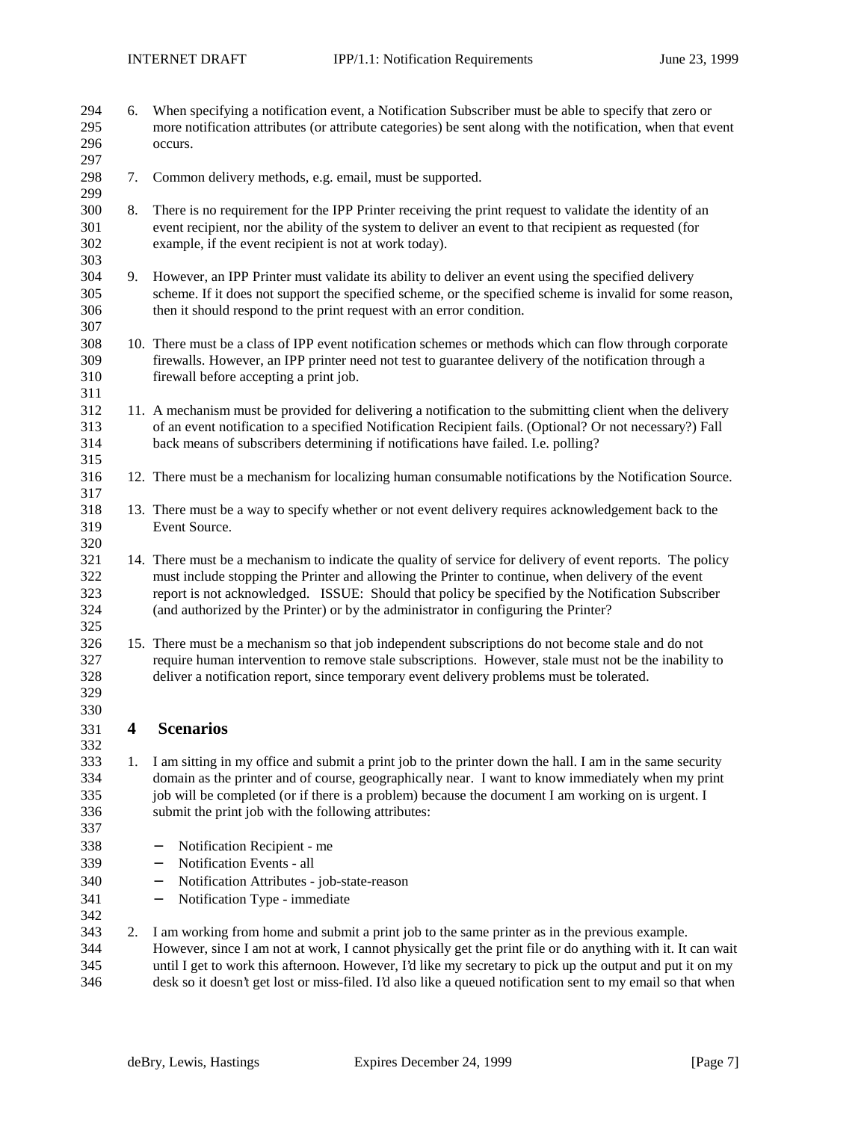| 294 | 6. | When specifying a notification event, a Notification Subscriber must be able to specify that zero or         |
|-----|----|--------------------------------------------------------------------------------------------------------------|
| 295 |    | more notification attributes (or attribute categories) be sent along with the notification, when that event  |
| 296 |    | occurs.                                                                                                      |
| 297 |    |                                                                                                              |
| 298 | 7. | Common delivery methods, e.g. email, must be supported.                                                      |
| 299 |    |                                                                                                              |
| 300 | 8. | There is no requirement for the IPP Printer receiving the print request to validate the identity of an       |
| 301 |    | event recipient, nor the ability of the system to deliver an event to that recipient as requested (for       |
| 302 |    | example, if the event recipient is not at work today).                                                       |
| 303 |    |                                                                                                              |
| 304 | 9. | However, an IPP Printer must validate its ability to deliver an event using the specified delivery           |
| 305 |    | scheme. If it does not support the specified scheme, or the specified scheme is invalid for some reason,     |
| 306 |    | then it should respond to the print request with an error condition.                                         |
| 307 |    |                                                                                                              |
| 308 |    | 10. There must be a class of IPP event notification schemes or methods which can flow through corporate      |
| 309 |    | firewalls. However, an IPP printer need not test to guarantee delivery of the notification through a         |
| 310 |    | firewall before accepting a print job.                                                                       |
| 311 |    |                                                                                                              |
| 312 |    | 11. A mechanism must be provided for delivering a notification to the submitting client when the delivery    |
| 313 |    | of an event notification to a specified Notification Recipient fails. (Optional? Or not necessary?) Fall     |
| 314 |    | back means of subscribers determining if notifications have failed. I.e. polling?                            |
| 315 |    |                                                                                                              |
| 316 |    | 12. There must be a mechanism for localizing human consumable notifications by the Notification Source.      |
| 317 |    |                                                                                                              |
| 318 |    | 13. There must be a way to specify whether or not event delivery requires acknowledgement back to the        |
| 319 |    | Event Source.                                                                                                |
| 320 |    |                                                                                                              |
| 321 |    | 14. There must be a mechanism to indicate the quality of service for delivery of event reports. The policy   |
| 322 |    | must include stopping the Printer and allowing the Printer to continue, when delivery of the event           |
| 323 |    | report is not acknowledged. ISSUE: Should that policy be specified by the Notification Subscriber            |
| 324 |    | (and authorized by the Printer) or by the administrator in configuring the Printer?                          |
| 325 |    |                                                                                                              |
| 326 |    | 15. There must be a mechanism so that job independent subscriptions do not become stale and do not           |
| 327 |    | require human intervention to remove stale subscriptions. However, stale must not be the inability to        |
| 328 |    | deliver a notification report, since temporary event delivery problems must be tolerated.                    |
| 329 |    |                                                                                                              |
| 330 |    |                                                                                                              |
| 331 | 4  | <b>Scenarios</b>                                                                                             |
| 332 |    |                                                                                                              |
| 333 | 1. | I am sitting in my office and submit a print job to the printer down the hall. I am in the same security     |
| 334 |    | domain as the printer and of course, geographically near. I want to know immediately when my print           |
| 335 |    | job will be completed (or if there is a problem) because the document I am working on is urgent. I           |
| 336 |    | submit the print job with the following attributes:                                                          |
| 337 |    |                                                                                                              |
| 338 |    | Notification Recipient - me                                                                                  |
|     |    | $\qquad \qquad -$                                                                                            |
| 339 |    | Notification Events - all<br>$\overline{\phantom{m}}$                                                        |
| 340 |    | Notification Attributes - job-state-reason<br>$\qquad \qquad -$                                              |
| 341 |    | Notification Type - immediate<br>$\overline{\phantom{m}}$                                                    |
| 342 |    |                                                                                                              |
| 343 | 2. | I am working from home and submit a print job to the same printer as in the previous example.                |
| 344 |    | However, since I am not at work, I cannot physically get the print file or do anything with it. It can wait  |
| 345 |    | until I get to work this afternoon. However, I'd like my secretary to pick up the output and put it on my    |
| 346 |    | desk so it doesn't get lost or miss-filed. I'd also like a queued notification sent to my email so that when |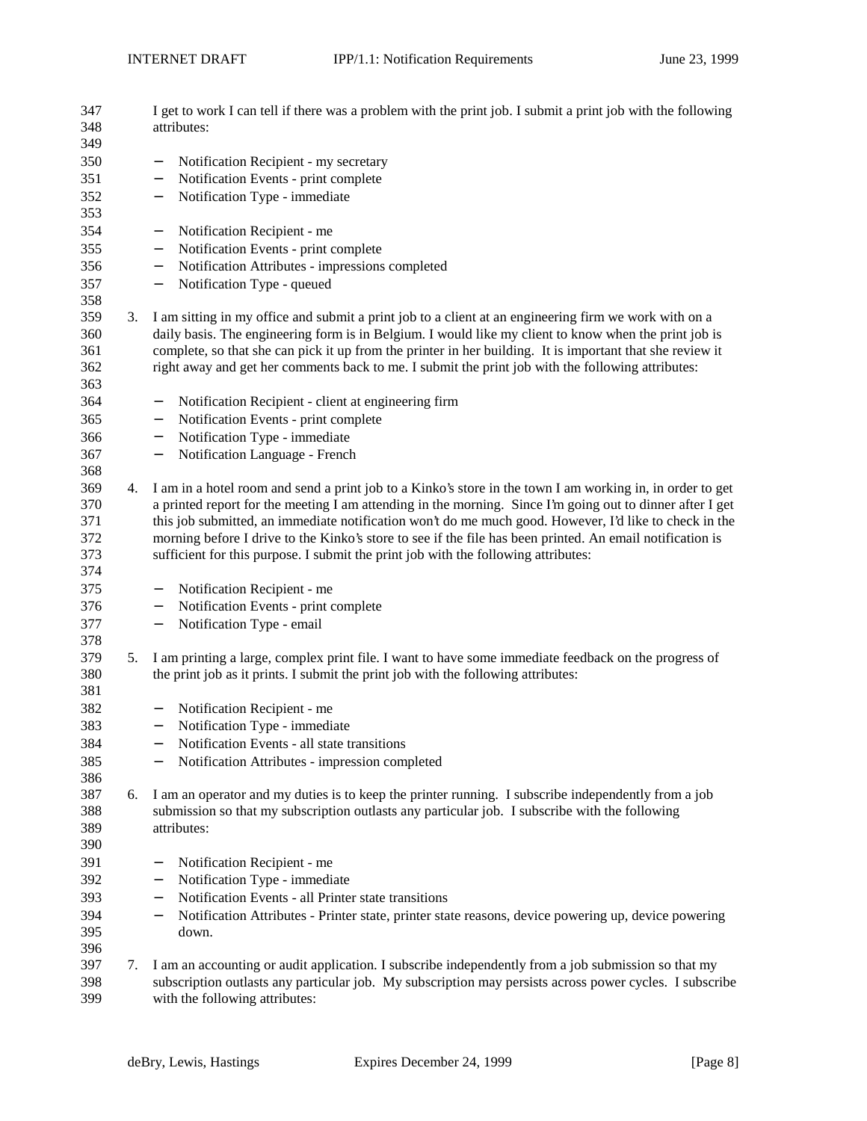| 347<br>348<br>349        |    | I get to work I can tell if there was a problem with the print job. I submit a print job with the following<br>attributes:                                                                                                                                                                                                                                                                                                       |  |
|--------------------------|----|----------------------------------------------------------------------------------------------------------------------------------------------------------------------------------------------------------------------------------------------------------------------------------------------------------------------------------------------------------------------------------------------------------------------------------|--|
| 350                      |    | Notification Recipient - my secretary<br>$\overline{\phantom{0}}$                                                                                                                                                                                                                                                                                                                                                                |  |
| 351                      |    | Notification Events - print complete                                                                                                                                                                                                                                                                                                                                                                                             |  |
| 352                      |    | Notification Type - immediate<br>$\qquad \qquad -$                                                                                                                                                                                                                                                                                                                                                                               |  |
| 353<br>354               |    | Notification Recipient - me<br>$\qquad \qquad -$                                                                                                                                                                                                                                                                                                                                                                                 |  |
| 355                      |    | Notification Events - print complete<br>$\qquad \qquad -$                                                                                                                                                                                                                                                                                                                                                                        |  |
| 356                      |    | Notification Attributes - impressions completed<br>$\qquad \qquad -$                                                                                                                                                                                                                                                                                                                                                             |  |
| 357<br>358               |    | Notification Type - queued<br>$\qquad \qquad -$                                                                                                                                                                                                                                                                                                                                                                                  |  |
| 359<br>360<br>361<br>362 | 3. | I am sitting in my office and submit a print job to a client at an engineering firm we work with on a<br>daily basis. The engineering form is in Belgium. I would like my client to know when the print job is<br>complete, so that she can pick it up from the printer in her building. It is important that she review it<br>right away and get her comments back to me. I submit the print job with the following attributes: |  |
| 363<br>364               |    | Notification Recipient - client at engineering firm<br>$\qquad \qquad -$                                                                                                                                                                                                                                                                                                                                                         |  |
| 365                      |    | Notification Events - print complete                                                                                                                                                                                                                                                                                                                                                                                             |  |
| 366                      |    | $\qquad \qquad -$<br>Notification Type - immediate                                                                                                                                                                                                                                                                                                                                                                               |  |
| 367                      |    | $\qquad \qquad -$<br>Notification Language - French                                                                                                                                                                                                                                                                                                                                                                              |  |
| 368                      |    | $\qquad \qquad -$                                                                                                                                                                                                                                                                                                                                                                                                                |  |
| 369                      | 4. | I am in a hotel room and send a print job to a Kinko's store in the town I am working in, in order to get                                                                                                                                                                                                                                                                                                                        |  |
| 370<br>371<br>372<br>373 |    | a printed report for the meeting I am attending in the morning. Since I'm going out to dinner after I get<br>this job submitted, an immediate notification won't do me much good. However, I'd like to check in the<br>morning before I drive to the Kinko's store to see if the file has been printed. An email notification is<br>sufficient for this purpose. I submit the print job with the following attributes:           |  |
| 374<br>375               |    | Notification Recipient - me                                                                                                                                                                                                                                                                                                                                                                                                      |  |
| 376                      |    | Notification Events - print complete                                                                                                                                                                                                                                                                                                                                                                                             |  |
|                          |    | $\qquad \qquad -$                                                                                                                                                                                                                                                                                                                                                                                                                |  |
| 377<br>378               |    | Notification Type - email<br>$\qquad \qquad -$                                                                                                                                                                                                                                                                                                                                                                                   |  |
| 379                      | 5. | I am printing a large, complex print file. I want to have some immediate feedback on the progress of                                                                                                                                                                                                                                                                                                                             |  |
| 380<br>381               |    | the print job as it prints. I submit the print job with the following attributes:                                                                                                                                                                                                                                                                                                                                                |  |
| 382                      |    | Notification Recipient - me<br>$\qquad \qquad -$                                                                                                                                                                                                                                                                                                                                                                                 |  |
| 383                      |    | Notification Type - immediate<br>$\qquad \qquad -$                                                                                                                                                                                                                                                                                                                                                                               |  |
| 384                      |    | Notification Events - all state transitions                                                                                                                                                                                                                                                                                                                                                                                      |  |
| 385                      |    | Notification Attributes - impression completed                                                                                                                                                                                                                                                                                                                                                                                   |  |
| 386                      |    |                                                                                                                                                                                                                                                                                                                                                                                                                                  |  |
| 387                      | 6. | I am an operator and my duties is to keep the printer running. I subscribe independently from a job                                                                                                                                                                                                                                                                                                                              |  |
| 388                      |    | submission so that my subscription outlasts any particular job. I subscribe with the following                                                                                                                                                                                                                                                                                                                                   |  |
| 389                      |    | attributes:                                                                                                                                                                                                                                                                                                                                                                                                                      |  |
| 390                      |    |                                                                                                                                                                                                                                                                                                                                                                                                                                  |  |
| 391                      |    | Notification Recipient - me<br>$\overline{\phantom{0}}$                                                                                                                                                                                                                                                                                                                                                                          |  |
| 392                      |    | Notification Type - immediate<br>$\qquad \qquad -$                                                                                                                                                                                                                                                                                                                                                                               |  |
| 393                      |    | Notification Events - all Printer state transitions<br>$\overline{\phantom{m}}$                                                                                                                                                                                                                                                                                                                                                  |  |
| 394<br>395<br>396        |    | Notification Attributes - Printer state, printer state reasons, device powering up, device powering<br>$\overline{\phantom{m}}$<br>down.                                                                                                                                                                                                                                                                                         |  |
| 397<br>398<br>399        | 7. | I am an accounting or audit application. I subscribe independently from a job submission so that my<br>subscription outlasts any particular job. My subscription may persists across power cycles. I subscribe<br>with the following attributes:                                                                                                                                                                                 |  |